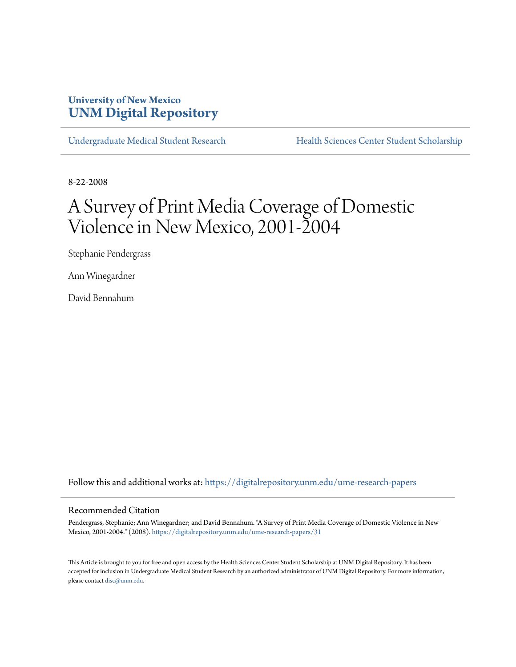# **University of New Mexico [UNM Digital Repository](https://digitalrepository.unm.edu?utm_source=digitalrepository.unm.edu%2Fume-research-papers%2F31&utm_medium=PDF&utm_campaign=PDFCoverPages)**

[Undergraduate Medical Student Research](https://digitalrepository.unm.edu/ume-research-papers?utm_source=digitalrepository.unm.edu%2Fume-research-papers%2F31&utm_medium=PDF&utm_campaign=PDFCoverPages) [Health Sciences Center Student Scholarship](https://digitalrepository.unm.edu/hsc-students?utm_source=digitalrepository.unm.edu%2Fume-research-papers%2F31&utm_medium=PDF&utm_campaign=PDFCoverPages)

8-22-2008

# A Survey of Print Media Coverage of Domestic Violence in New Mexico, 2001-2004

Stephanie Pendergrass

Ann Winegardner

David Bennahum

Follow this and additional works at: [https://digitalrepository.unm.edu/ume-research-papers](https://digitalrepository.unm.edu/ume-research-papers?utm_source=digitalrepository.unm.edu%2Fume-research-papers%2F31&utm_medium=PDF&utm_campaign=PDFCoverPages)

#### Recommended Citation

Pendergrass, Stephanie; Ann Winegardner; and David Bennahum. "A Survey of Print Media Coverage of Domestic Violence in New Mexico, 2001-2004." (2008). [https://digitalrepository.unm.edu/ume-research-papers/31](https://digitalrepository.unm.edu/ume-research-papers/31?utm_source=digitalrepository.unm.edu%2Fume-research-papers%2F31&utm_medium=PDF&utm_campaign=PDFCoverPages)

This Article is brought to you for free and open access by the Health Sciences Center Student Scholarship at UNM Digital Repository. It has been accepted for inclusion in Undergraduate Medical Student Research by an authorized administrator of UNM Digital Repository. For more information, please contact [disc@unm.edu.](mailto:disc@unm.edu)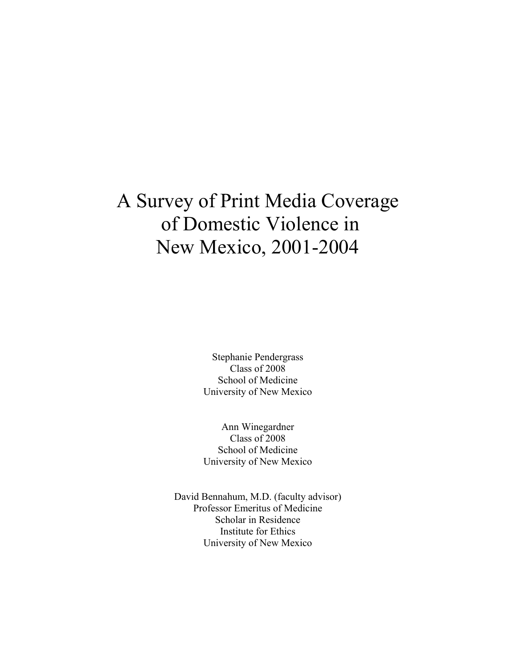# A Survey of Print Media Coverage of Domestic Violence in New Mexico, 2001-2004

Stephanie Pendergrass Class of 2008 School of Medicine University of New Mexico

Ann Winegardner Class of 2008 School of Medicine University of New Mexico

David Bennahum, M.D. (faculty advisor) Professor Emeritus of Medicine Scholar in Residence Institute for Ethics University of New Mexico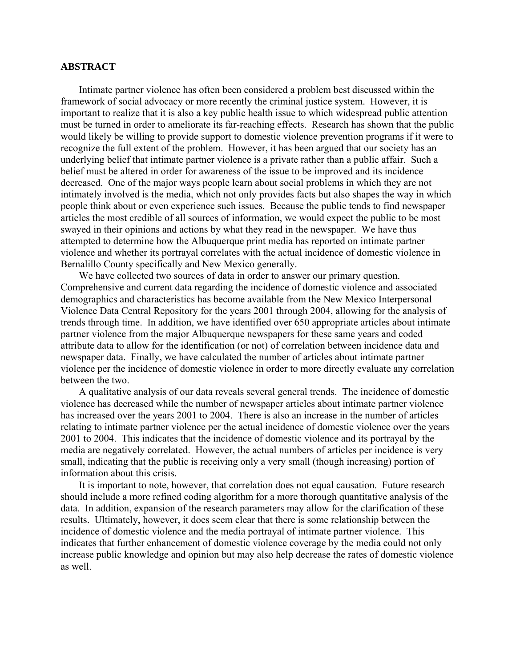## **ABSTRACT**

 Intimate partner violence has often been considered a problem best discussed within the framework of social advocacy or more recently the criminal justice system. However, it is important to realize that it is also a key public health issue to which widespread public attention must be turned in order to ameliorate its far-reaching effects. Research has shown that the public would likely be willing to provide support to domestic violence prevention programs if it were to recognize the full extent of the problem. However, it has been argued that our society has an underlying belief that intimate partner violence is a private rather than a public affair. Such a belief must be altered in order for awareness of the issue to be improved and its incidence decreased. One of the major ways people learn about social problems in which they are not intimately involved is the media, which not only provides facts but also shapes the way in which people think about or even experience such issues. Because the public tends to find newspaper articles the most credible of all sources of information, we would expect the public to be most swayed in their opinions and actions by what they read in the newspaper. We have thus attempted to determine how the Albuquerque print media has reported on intimate partner violence and whether its portrayal correlates with the actual incidence of domestic violence in Bernalillo County specifically and New Mexico generally.

 We have collected two sources of data in order to answer our primary question. Comprehensive and current data regarding the incidence of domestic violence and associated demographics and characteristics has become available from the New Mexico Interpersonal Violence Data Central Repository for the years 2001 through 2004, allowing for the analysis of trends through time. In addition, we have identified over 650 appropriate articles about intimate partner violence from the major Albuquerque newspapers for these same years and coded attribute data to allow for the identification (or not) of correlation between incidence data and newspaper data. Finally, we have calculated the number of articles about intimate partner violence per the incidence of domestic violence in order to more directly evaluate any correlation between the two.

 A qualitative analysis of our data reveals several general trends. The incidence of domestic violence has decreased while the number of newspaper articles about intimate partner violence has increased over the years 2001 to 2004. There is also an increase in the number of articles relating to intimate partner violence per the actual incidence of domestic violence over the years 2001 to 2004. This indicates that the incidence of domestic violence and its portrayal by the media are negatively correlated. However, the actual numbers of articles per incidence is very small, indicating that the public is receiving only a very small (though increasing) portion of information about this crisis.

 It is important to note, however, that correlation does not equal causation. Future research should include a more refined coding algorithm for a more thorough quantitative analysis of the data. In addition, expansion of the research parameters may allow for the clarification of these results. Ultimately, however, it does seem clear that there is some relationship between the incidence of domestic violence and the media portrayal of intimate partner violence. This indicates that further enhancement of domestic violence coverage by the media could not only increase public knowledge and opinion but may also help decrease the rates of domestic violence as well.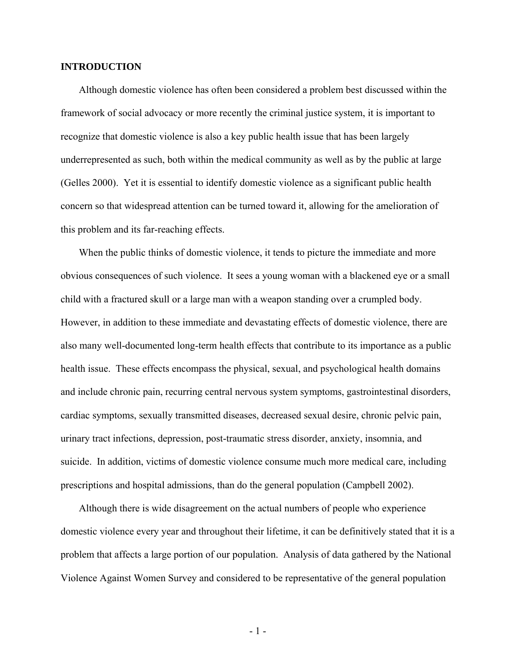### **INTRODUCTION**

 Although domestic violence has often been considered a problem best discussed within the framework of social advocacy or more recently the criminal justice system, it is important to recognize that domestic violence is also a key public health issue that has been largely underrepresented as such, both within the medical community as well as by the public at large (Gelles 2000). Yet it is essential to identify domestic violence as a significant public health concern so that widespread attention can be turned toward it, allowing for the amelioration of this problem and its far-reaching effects.

 When the public thinks of domestic violence, it tends to picture the immediate and more obvious consequences of such violence. It sees a young woman with a blackened eye or a small child with a fractured skull or a large man with a weapon standing over a crumpled body. However, in addition to these immediate and devastating effects of domestic violence, there are also many well-documented long-term health effects that contribute to its importance as a public health issue. These effects encompass the physical, sexual, and psychological health domains and include chronic pain, recurring central nervous system symptoms, gastrointestinal disorders, cardiac symptoms, sexually transmitted diseases, decreased sexual desire, chronic pelvic pain, urinary tract infections, depression, post-traumatic stress disorder, anxiety, insomnia, and suicide. In addition, victims of domestic violence consume much more medical care, including prescriptions and hospital admissions, than do the general population (Campbell 2002).

 Although there is wide disagreement on the actual numbers of people who experience domestic violence every year and throughout their lifetime, it can be definitively stated that it is a problem that affects a large portion of our population. Analysis of data gathered by the National Violence Against Women Survey and considered to be representative of the general population

- 1 -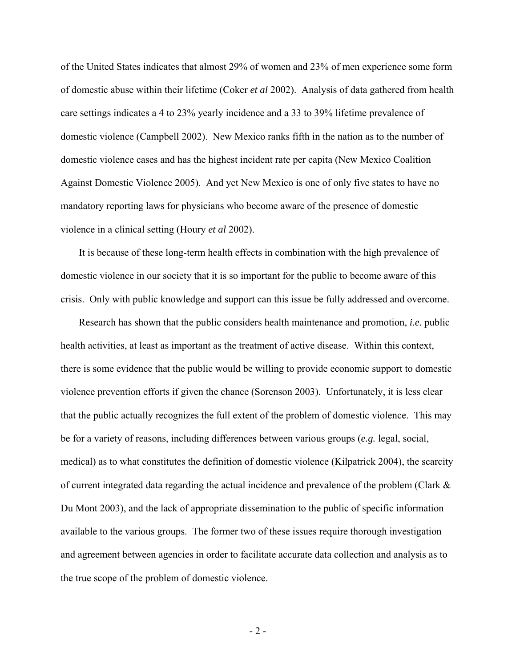of the United States indicates that almost 29% of women and 23% of men experience some form of domestic abuse within their lifetime (Coker *et al* 2002). Analysis of data gathered from health care settings indicates a 4 to 23% yearly incidence and a 33 to 39% lifetime prevalence of domestic violence (Campbell 2002). New Mexico ranks fifth in the nation as to the number of domestic violence cases and has the highest incident rate per capita (New Mexico Coalition Against Domestic Violence 2005). And yet New Mexico is one of only five states to have no mandatory reporting laws for physicians who become aware of the presence of domestic violence in a clinical setting (Houry *et al* 2002).

It is because of these long-term health effects in combination with the high prevalence of domestic violence in our society that it is so important for the public to become aware of this crisis. Only with public knowledge and support can this issue be fully addressed and overcome.

Research has shown that the public considers health maintenance and promotion, *i.e.* public health activities, at least as important as the treatment of active disease. Within this context, there is some evidence that the public would be willing to provide economic support to domestic violence prevention efforts if given the chance (Sorenson 2003). Unfortunately, it is less clear that the public actually recognizes the full extent of the problem of domestic violence. This may be for a variety of reasons, including differences between various groups (*e.g.* legal, social, medical) as to what constitutes the definition of domestic violence (Kilpatrick 2004), the scarcity of current integrated data regarding the actual incidence and prevalence of the problem (Clark & Du Mont 2003), and the lack of appropriate dissemination to the public of specific information available to the various groups. The former two of these issues require thorough investigation and agreement between agencies in order to facilitate accurate data collection and analysis as to the true scope of the problem of domestic violence.

 $-2-$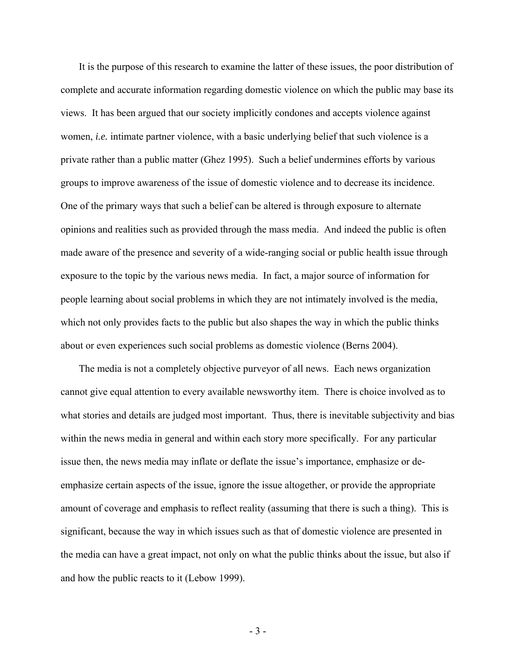It is the purpose of this research to examine the latter of these issues, the poor distribution of complete and accurate information regarding domestic violence on which the public may base its views. It has been argued that our society implicitly condones and accepts violence against women, *i.e.* intimate partner violence, with a basic underlying belief that such violence is a private rather than a public matter (Ghez 1995). Such a belief undermines efforts by various groups to improve awareness of the issue of domestic violence and to decrease its incidence. One of the primary ways that such a belief can be altered is through exposure to alternate opinions and realities such as provided through the mass media. And indeed the public is often made aware of the presence and severity of a wide-ranging social or public health issue through exposure to the topic by the various news media. In fact, a major source of information for people learning about social problems in which they are not intimately involved is the media, which not only provides facts to the public but also shapes the way in which the public thinks about or even experiences such social problems as domestic violence (Berns 2004).

The media is not a completely objective purveyor of all news. Each news organization cannot give equal attention to every available newsworthy item. There is choice involved as to what stories and details are judged most important. Thus, there is inevitable subjectivity and bias within the news media in general and within each story more specifically. For any particular issue then, the news media may inflate or deflate the issue's importance, emphasize or deemphasize certain aspects of the issue, ignore the issue altogether, or provide the appropriate amount of coverage and emphasis to reflect reality (assuming that there is such a thing). This is significant, because the way in which issues such as that of domestic violence are presented in the media can have a great impact, not only on what the public thinks about the issue, but also if and how the public reacts to it (Lebow 1999).

- 3 -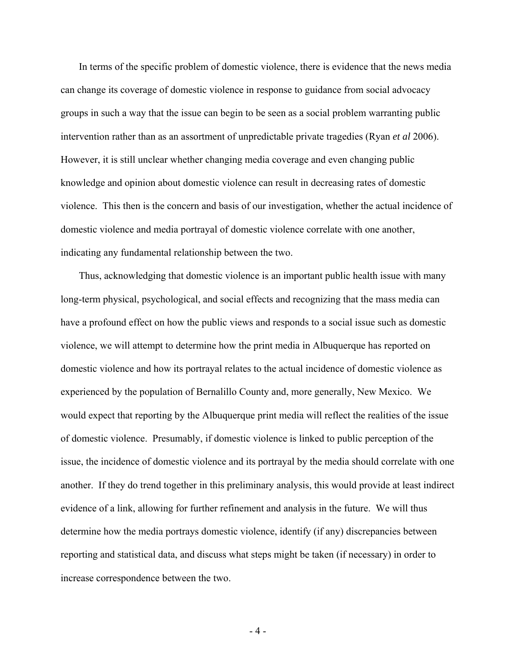In terms of the specific problem of domestic violence, there is evidence that the news media can change its coverage of domestic violence in response to guidance from social advocacy groups in such a way that the issue can begin to be seen as a social problem warranting public intervention rather than as an assortment of unpredictable private tragedies (Ryan *et al* 2006). However, it is still unclear whether changing media coverage and even changing public knowledge and opinion about domestic violence can result in decreasing rates of domestic violence. This then is the concern and basis of our investigation, whether the actual incidence of domestic violence and media portrayal of domestic violence correlate with one another, indicating any fundamental relationship between the two.

 Thus, acknowledging that domestic violence is an important public health issue with many long-term physical, psychological, and social effects and recognizing that the mass media can have a profound effect on how the public views and responds to a social issue such as domestic violence, we will attempt to determine how the print media in Albuquerque has reported on domestic violence and how its portrayal relates to the actual incidence of domestic violence as experienced by the population of Bernalillo County and, more generally, New Mexico. We would expect that reporting by the Albuquerque print media will reflect the realities of the issue of domestic violence. Presumably, if domestic violence is linked to public perception of the issue, the incidence of domestic violence and its portrayal by the media should correlate with one another. If they do trend together in this preliminary analysis, this would provide at least indirect evidence of a link, allowing for further refinement and analysis in the future. We will thus determine how the media portrays domestic violence, identify (if any) discrepancies between reporting and statistical data, and discuss what steps might be taken (if necessary) in order to increase correspondence between the two.

- 4 -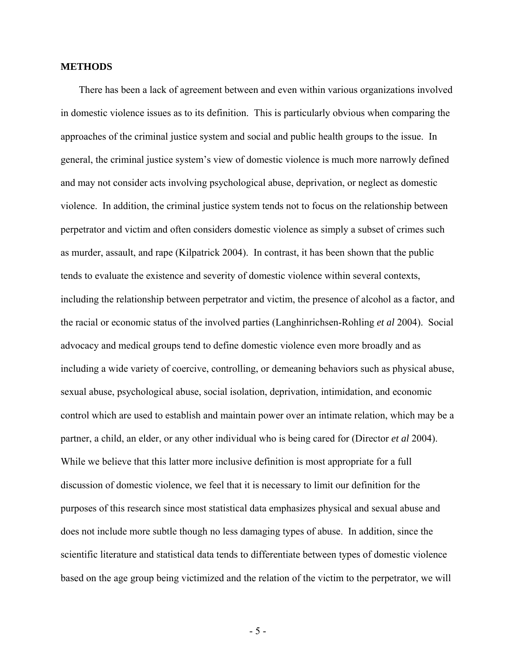### **METHODS**

 There has been a lack of agreement between and even within various organizations involved in domestic violence issues as to its definition. This is particularly obvious when comparing the approaches of the criminal justice system and social and public health groups to the issue. In general, the criminal justice system's view of domestic violence is much more narrowly defined and may not consider acts involving psychological abuse, deprivation, or neglect as domestic violence. In addition, the criminal justice system tends not to focus on the relationship between perpetrator and victim and often considers domestic violence as simply a subset of crimes such as murder, assault, and rape (Kilpatrick 2004). In contrast, it has been shown that the public tends to evaluate the existence and severity of domestic violence within several contexts, including the relationship between perpetrator and victim, the presence of alcohol as a factor, and the racial or economic status of the involved parties (Langhinrichsen-Rohling *et al* 2004). Social advocacy and medical groups tend to define domestic violence even more broadly and as including a wide variety of coercive, controlling, or demeaning behaviors such as physical abuse, sexual abuse, psychological abuse, social isolation, deprivation, intimidation, and economic control which are used to establish and maintain power over an intimate relation, which may be a partner, a child, an elder, or any other individual who is being cared for (Director *et al* 2004). While we believe that this latter more inclusive definition is most appropriate for a full discussion of domestic violence, we feel that it is necessary to limit our definition for the purposes of this research since most statistical data emphasizes physical and sexual abuse and does not include more subtle though no less damaging types of abuse. In addition, since the scientific literature and statistical data tends to differentiate between types of domestic violence based on the age group being victimized and the relation of the victim to the perpetrator, we will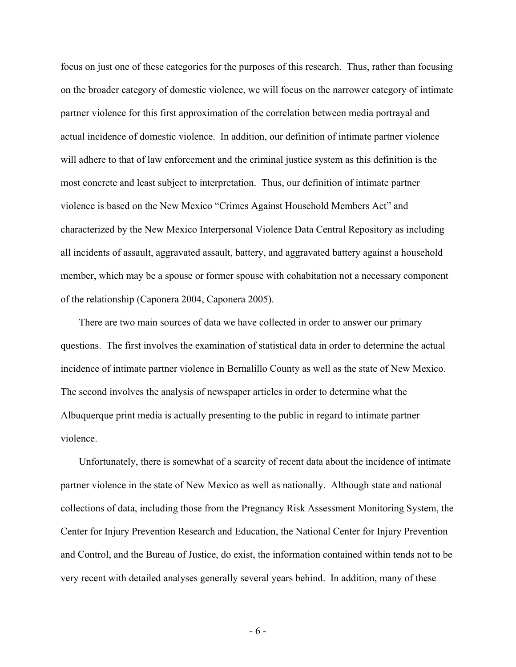focus on just one of these categories for the purposes of this research. Thus, rather than focusing on the broader category of domestic violence, we will focus on the narrower category of intimate partner violence for this first approximation of the correlation between media portrayal and actual incidence of domestic violence. In addition, our definition of intimate partner violence will adhere to that of law enforcement and the criminal justice system as this definition is the most concrete and least subject to interpretation. Thus, our definition of intimate partner violence is based on the New Mexico "Crimes Against Household Members Act" and characterized by the New Mexico Interpersonal Violence Data Central Repository as including all incidents of assault, aggravated assault, battery, and aggravated battery against a household member, which may be a spouse or former spouse with cohabitation not a necessary component of the relationship (Caponera 2004, Caponera 2005).

 There are two main sources of data we have collected in order to answer our primary questions. The first involves the examination of statistical data in order to determine the actual incidence of intimate partner violence in Bernalillo County as well as the state of New Mexico. The second involves the analysis of newspaper articles in order to determine what the Albuquerque print media is actually presenting to the public in regard to intimate partner violence.

 Unfortunately, there is somewhat of a scarcity of recent data about the incidence of intimate partner violence in the state of New Mexico as well as nationally. Although state and national collections of data, including those from the Pregnancy Risk Assessment Monitoring System, the Center for Injury Prevention Research and Education, the National Center for Injury Prevention and Control, and the Bureau of Justice, do exist, the information contained within tends not to be very recent with detailed analyses generally several years behind. In addition, many of these

- 6 -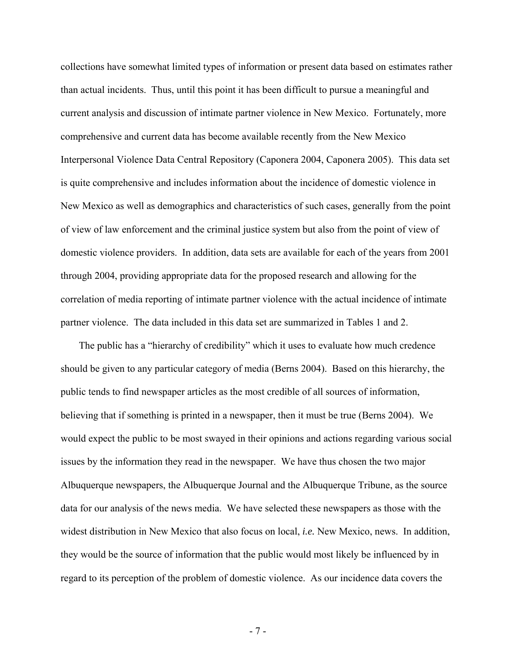collections have somewhat limited types of information or present data based on estimates rather than actual incidents. Thus, until this point it has been difficult to pursue a meaningful and current analysis and discussion of intimate partner violence in New Mexico. Fortunately, more comprehensive and current data has become available recently from the New Mexico Interpersonal Violence Data Central Repository (Caponera 2004, Caponera 2005). This data set is quite comprehensive and includes information about the incidence of domestic violence in New Mexico as well as demographics and characteristics of such cases, generally from the point of view of law enforcement and the criminal justice system but also from the point of view of domestic violence providers. In addition, data sets are available for each of the years from 2001 through 2004, providing appropriate data for the proposed research and allowing for the correlation of media reporting of intimate partner violence with the actual incidence of intimate partner violence. The data included in this data set are summarized in Tables 1 and 2.

 The public has a "hierarchy of credibility" which it uses to evaluate how much credence should be given to any particular category of media (Berns 2004). Based on this hierarchy, the public tends to find newspaper articles as the most credible of all sources of information, believing that if something is printed in a newspaper, then it must be true (Berns 2004). We would expect the public to be most swayed in their opinions and actions regarding various social issues by the information they read in the newspaper. We have thus chosen the two major Albuquerque newspapers, the Albuquerque Journal and the Albuquerque Tribune, as the source data for our analysis of the news media. We have selected these newspapers as those with the widest distribution in New Mexico that also focus on local, *i.e.* New Mexico, news. In addition, they would be the source of information that the public would most likely be influenced by in regard to its perception of the problem of domestic violence. As our incidence data covers the

- 7 -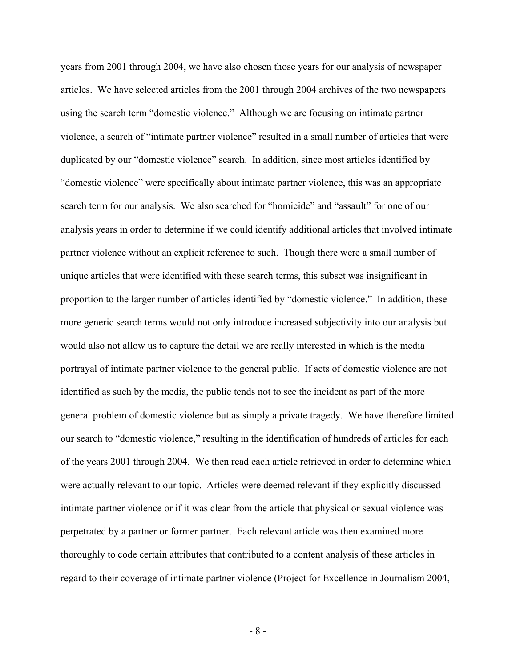years from 2001 through 2004, we have also chosen those years for our analysis of newspaper articles. We have selected articles from the 2001 through 2004 archives of the two newspapers using the search term "domestic violence." Although we are focusing on intimate partner violence, a search of "intimate partner violence" resulted in a small number of articles that were duplicated by our "domestic violence" search. In addition, since most articles identified by "domestic violence" were specifically about intimate partner violence, this was an appropriate search term for our analysis. We also searched for "homicide" and "assault" for one of our analysis years in order to determine if we could identify additional articles that involved intimate partner violence without an explicit reference to such. Though there were a small number of unique articles that were identified with these search terms, this subset was insignificant in proportion to the larger number of articles identified by "domestic violence." In addition, these more generic search terms would not only introduce increased subjectivity into our analysis but would also not allow us to capture the detail we are really interested in which is the media portrayal of intimate partner violence to the general public. If acts of domestic violence are not identified as such by the media, the public tends not to see the incident as part of the more general problem of domestic violence but as simply a private tragedy. We have therefore limited our search to "domestic violence," resulting in the identification of hundreds of articles for each of the years 2001 through 2004. We then read each article retrieved in order to determine which were actually relevant to our topic. Articles were deemed relevant if they explicitly discussed intimate partner violence or if it was clear from the article that physical or sexual violence was perpetrated by a partner or former partner. Each relevant article was then examined more thoroughly to code certain attributes that contributed to a content analysis of these articles in regard to their coverage of intimate partner violence (Project for Excellence in Journalism 2004,

- 8 -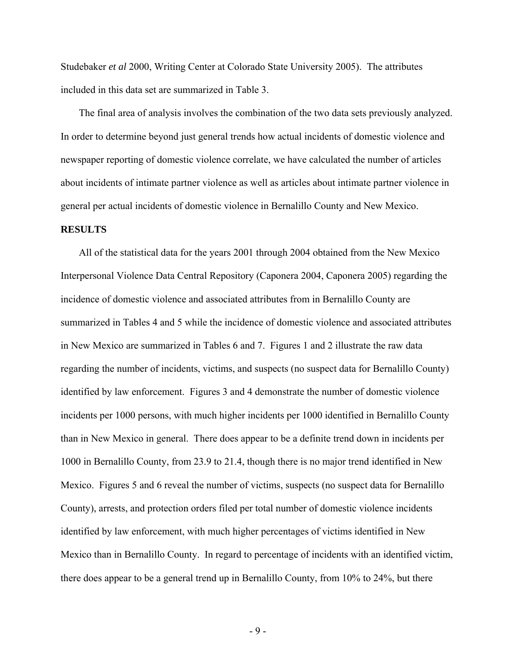Studebaker *et al* 2000, Writing Center at Colorado State University 2005). The attributes included in this data set are summarized in Table 3.

 The final area of analysis involves the combination of the two data sets previously analyzed. In order to determine beyond just general trends how actual incidents of domestic violence and newspaper reporting of domestic violence correlate, we have calculated the number of articles about incidents of intimate partner violence as well as articles about intimate partner violence in general per actual incidents of domestic violence in Bernalillo County and New Mexico.

#### **RESULTS**

 All of the statistical data for the years 2001 through 2004 obtained from the New Mexico Interpersonal Violence Data Central Repository (Caponera 2004, Caponera 2005) regarding the incidence of domestic violence and associated attributes from in Bernalillo County are summarized in Tables 4 and 5 while the incidence of domestic violence and associated attributes in New Mexico are summarized in Tables 6 and 7. Figures 1 and 2 illustrate the raw data regarding the number of incidents, victims, and suspects (no suspect data for Bernalillo County) identified by law enforcement. Figures 3 and 4 demonstrate the number of domestic violence incidents per 1000 persons, with much higher incidents per 1000 identified in Bernalillo County than in New Mexico in general. There does appear to be a definite trend down in incidents per 1000 in Bernalillo County, from 23.9 to 21.4, though there is no major trend identified in New Mexico. Figures 5 and 6 reveal the number of victims, suspects (no suspect data for Bernalillo County), arrests, and protection orders filed per total number of domestic violence incidents identified by law enforcement, with much higher percentages of victims identified in New Mexico than in Bernalillo County. In regard to percentage of incidents with an identified victim, there does appear to be a general trend up in Bernalillo County, from 10% to 24%, but there

- 9 -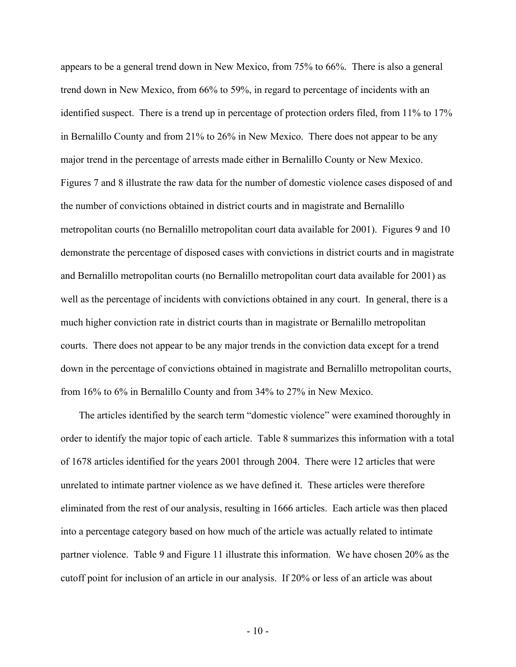appears to be a general trend down in New Mexico, from 75% to 66%. There is also a general trend down in New Mexico, from 66% to 59%, in regard to percentage of incidents with an identified suspect. There is a trend up in percentage of protection orders filed, from 11% to 17% in Bernalillo County and from 21% to 26% in New Mexico. There does not appear to be any major trend in the percentage of arrests made either in Bernalillo County or New Mexico. Figures 7 and 8 illustrate the raw data for the number of domestic violence cases disposed of and the number of convictions obtained in district courts and in magistrate and Bernalillo metropolitan courts (no Bernalillo metropolitan court data available for 2001). Figures 9 and 10 demonstrate the percentage of disposed cases with convictions in district courts and in magistrate and Bernalillo metropolitan courts (no Bernalillo metropolitan court data available for 2001) as well as the percentage of incidents with convictions obtained in any court. In general, there is a much higher conviction rate in district courts than in magistrate or Bernalillo metropolitan courts. There does not appear to be any major trends in the conviction data except for a trend down in the percentage of convictions obtained in magistrate and Bernalillo metropolitan courts, from 16% to 6% in Bernalillo County and from 34% to 27% in New Mexico.

 The articles identified by the search term "domestic violence" were examined thoroughly in order to identify the major topic of each article. Table 8 summarizes this information with a total of 1678 articles identified for the years 2001 through 2004. There were 12 articles that were unrelated to intimate partner violence as we have defined it. These articles were therefore eliminated from the rest of our analysis, resulting in 1666 articles. Each article was then placed into a percentage category based on how much of the article was actually related to intimate partner violence. Table 9 and Figure 11 illustrate this information. We have chosen 20% as the cutoff point for inclusion of an article in our analysis. If 20% or less of an article was about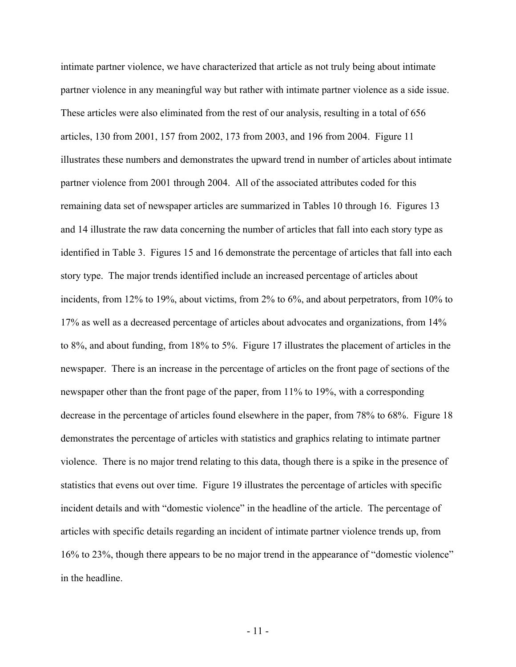intimate partner violence, we have characterized that article as not truly being about intimate partner violence in any meaningful way but rather with intimate partner violence as a side issue. These articles were also eliminated from the rest of our analysis, resulting in a total of 656 articles, 130 from 2001, 157 from 2002, 173 from 2003, and 196 from 2004. Figure 11 illustrates these numbers and demonstrates the upward trend in number of articles about intimate partner violence from 2001 through 2004. All of the associated attributes coded for this remaining data set of newspaper articles are summarized in Tables 10 through 16. Figures 13 and 14 illustrate the raw data concerning the number of articles that fall into each story type as identified in Table 3. Figures 15 and 16 demonstrate the percentage of articles that fall into each story type. The major trends identified include an increased percentage of articles about incidents, from 12% to 19%, about victims, from 2% to 6%, and about perpetrators, from 10% to 17% as well as a decreased percentage of articles about advocates and organizations, from 14% to 8%, and about funding, from 18% to 5%. Figure 17 illustrates the placement of articles in the newspaper. There is an increase in the percentage of articles on the front page of sections of the newspaper other than the front page of the paper, from 11% to 19%, with a corresponding decrease in the percentage of articles found elsewhere in the paper, from 78% to 68%. Figure 18 demonstrates the percentage of articles with statistics and graphics relating to intimate partner violence. There is no major trend relating to this data, though there is a spike in the presence of statistics that evens out over time. Figure 19 illustrates the percentage of articles with specific incident details and with "domestic violence" in the headline of the article. The percentage of articles with specific details regarding an incident of intimate partner violence trends up, from 16% to 23%, though there appears to be no major trend in the appearance of "domestic violence" in the headline.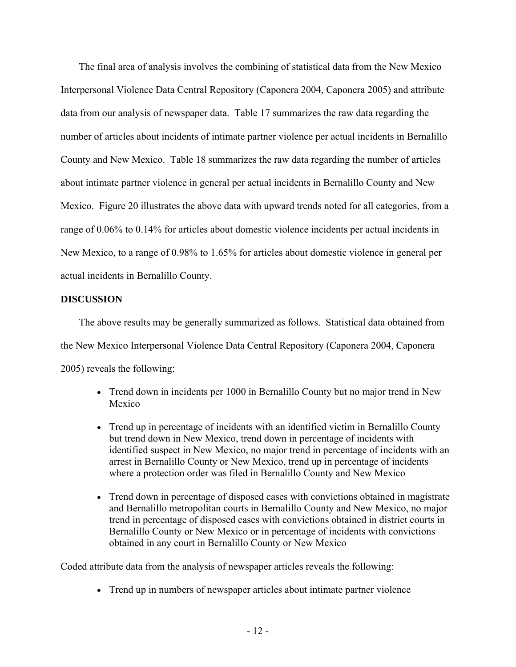The final area of analysis involves the combining of statistical data from the New Mexico Interpersonal Violence Data Central Repository (Caponera 2004, Caponera 2005) and attribute data from our analysis of newspaper data. Table 17 summarizes the raw data regarding the number of articles about incidents of intimate partner violence per actual incidents in Bernalillo County and New Mexico. Table 18 summarizes the raw data regarding the number of articles about intimate partner violence in general per actual incidents in Bernalillo County and New Mexico. Figure 20 illustrates the above data with upward trends noted for all categories, from a range of 0.06% to 0.14% for articles about domestic violence incidents per actual incidents in New Mexico, to a range of 0.98% to 1.65% for articles about domestic violence in general per actual incidents in Bernalillo County.

## **DISCUSSION**

 The above results may be generally summarized as follows. Statistical data obtained from the New Mexico Interpersonal Violence Data Central Repository (Caponera 2004, Caponera 2005) reveals the following:

- Trend down in incidents per 1000 in Bernalillo County but no major trend in New Mexico
- Trend up in percentage of incidents with an identified victim in Bernalillo County but trend down in New Mexico, trend down in percentage of incidents with identified suspect in New Mexico, no major trend in percentage of incidents with an arrest in Bernalillo County or New Mexico, trend up in percentage of incidents where a protection order was filed in Bernalillo County and New Mexico
- Trend down in percentage of disposed cases with convictions obtained in magistrate and Bernalillo metropolitan courts in Bernalillo County and New Mexico, no major trend in percentage of disposed cases with convictions obtained in district courts in Bernalillo County or New Mexico or in percentage of incidents with convictions obtained in any court in Bernalillo County or New Mexico

Coded attribute data from the analysis of newspaper articles reveals the following:

• Trend up in numbers of newspaper articles about intimate partner violence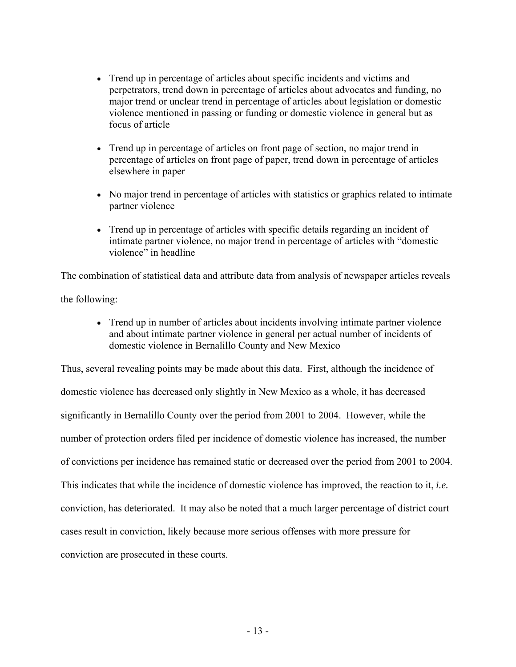- Trend up in percentage of articles about specific incidents and victims and perpetrators, trend down in percentage of articles about advocates and funding, no major trend or unclear trend in percentage of articles about legislation or domestic violence mentioned in passing or funding or domestic violence in general but as focus of article
- Trend up in percentage of articles on front page of section, no major trend in percentage of articles on front page of paper, trend down in percentage of articles elsewhere in paper
- No major trend in percentage of articles with statistics or graphics related to intimate partner violence
- Trend up in percentage of articles with specific details regarding an incident of intimate partner violence, no major trend in percentage of articles with "domestic violence" in headline

The combination of statistical data and attribute data from analysis of newspaper articles reveals the following:

• Trend up in number of articles about incidents involving intimate partner violence and about intimate partner violence in general per actual number of incidents of domestic violence in Bernalillo County and New Mexico

Thus, several revealing points may be made about this data. First, although the incidence of domestic violence has decreased only slightly in New Mexico as a whole, it has decreased significantly in Bernalillo County over the period from 2001 to 2004. However, while the number of protection orders filed per incidence of domestic violence has increased, the number of convictions per incidence has remained static or decreased over the period from 2001 to 2004. This indicates that while the incidence of domestic violence has improved, the reaction to it, *i.e.* conviction, has deteriorated. It may also be noted that a much larger percentage of district court cases result in conviction, likely because more serious offenses with more pressure for conviction are prosecuted in these courts.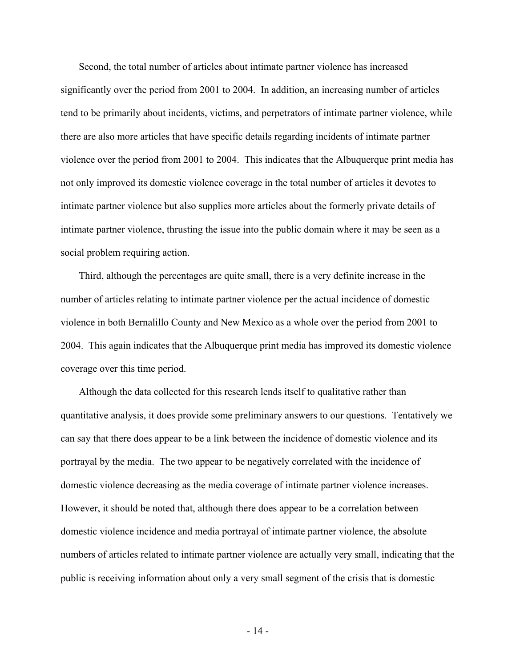Second, the total number of articles about intimate partner violence has increased significantly over the period from 2001 to 2004. In addition, an increasing number of articles tend to be primarily about incidents, victims, and perpetrators of intimate partner violence, while there are also more articles that have specific details regarding incidents of intimate partner violence over the period from 2001 to 2004. This indicates that the Albuquerque print media has not only improved its domestic violence coverage in the total number of articles it devotes to intimate partner violence but also supplies more articles about the formerly private details of intimate partner violence, thrusting the issue into the public domain where it may be seen as a social problem requiring action.

 Third, although the percentages are quite small, there is a very definite increase in the number of articles relating to intimate partner violence per the actual incidence of domestic violence in both Bernalillo County and New Mexico as a whole over the period from 2001 to 2004. This again indicates that the Albuquerque print media has improved its domestic violence coverage over this time period.

 Although the data collected for this research lends itself to qualitative rather than quantitative analysis, it does provide some preliminary answers to our questions. Tentatively we can say that there does appear to be a link between the incidence of domestic violence and its portrayal by the media. The two appear to be negatively correlated with the incidence of domestic violence decreasing as the media coverage of intimate partner violence increases. However, it should be noted that, although there does appear to be a correlation between domestic violence incidence and media portrayal of intimate partner violence, the absolute numbers of articles related to intimate partner violence are actually very small, indicating that the public is receiving information about only a very small segment of the crisis that is domestic

- 14 -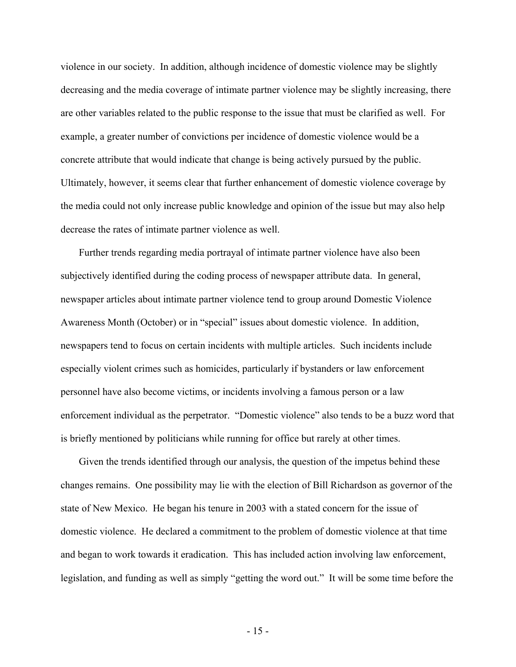violence in our society. In addition, although incidence of domestic violence may be slightly decreasing and the media coverage of intimate partner violence may be slightly increasing, there are other variables related to the public response to the issue that must be clarified as well. For example, a greater number of convictions per incidence of domestic violence would be a concrete attribute that would indicate that change is being actively pursued by the public. Ultimately, however, it seems clear that further enhancement of domestic violence coverage by the media could not only increase public knowledge and opinion of the issue but may also help decrease the rates of intimate partner violence as well.

 Further trends regarding media portrayal of intimate partner violence have also been subjectively identified during the coding process of newspaper attribute data. In general, newspaper articles about intimate partner violence tend to group around Domestic Violence Awareness Month (October) or in "special" issues about domestic violence. In addition, newspapers tend to focus on certain incidents with multiple articles. Such incidents include especially violent crimes such as homicides, particularly if bystanders or law enforcement personnel have also become victims, or incidents involving a famous person or a law enforcement individual as the perpetrator. "Domestic violence" also tends to be a buzz word that is briefly mentioned by politicians while running for office but rarely at other times.

Given the trends identified through our analysis, the question of the impetus behind these changes remains. One possibility may lie with the election of Bill Richardson as governor of the state of New Mexico. He began his tenure in 2003 with a stated concern for the issue of domestic violence. He declared a commitment to the problem of domestic violence at that time and began to work towards it eradication. This has included action involving law enforcement, legislation, and funding as well as simply "getting the word out." It will be some time before the

- 15 -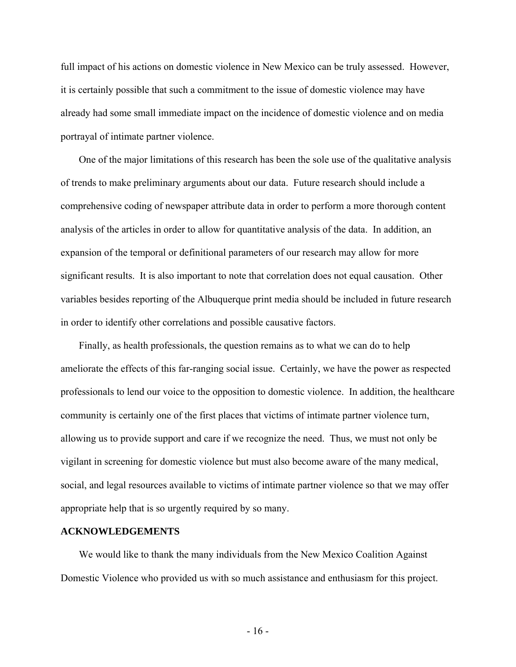full impact of his actions on domestic violence in New Mexico can be truly assessed. However, it is certainly possible that such a commitment to the issue of domestic violence may have already had some small immediate impact on the incidence of domestic violence and on media portrayal of intimate partner violence.

 One of the major limitations of this research has been the sole use of the qualitative analysis of trends to make preliminary arguments about our data. Future research should include a comprehensive coding of newspaper attribute data in order to perform a more thorough content analysis of the articles in order to allow for quantitative analysis of the data. In addition, an expansion of the temporal or definitional parameters of our research may allow for more significant results. It is also important to note that correlation does not equal causation. Other variables besides reporting of the Albuquerque print media should be included in future research in order to identify other correlations and possible causative factors.

 Finally, as health professionals, the question remains as to what we can do to help ameliorate the effects of this far-ranging social issue. Certainly, we have the power as respected professionals to lend our voice to the opposition to domestic violence. In addition, the healthcare community is certainly one of the first places that victims of intimate partner violence turn, allowing us to provide support and care if we recognize the need. Thus, we must not only be vigilant in screening for domestic violence but must also become aware of the many medical, social, and legal resources available to victims of intimate partner violence so that we may offer appropriate help that is so urgently required by so many.

#### **ACKNOWLEDGEMENTS**

 We would like to thank the many individuals from the New Mexico Coalition Against Domestic Violence who provided us with so much assistance and enthusiasm for this project.

- 16 -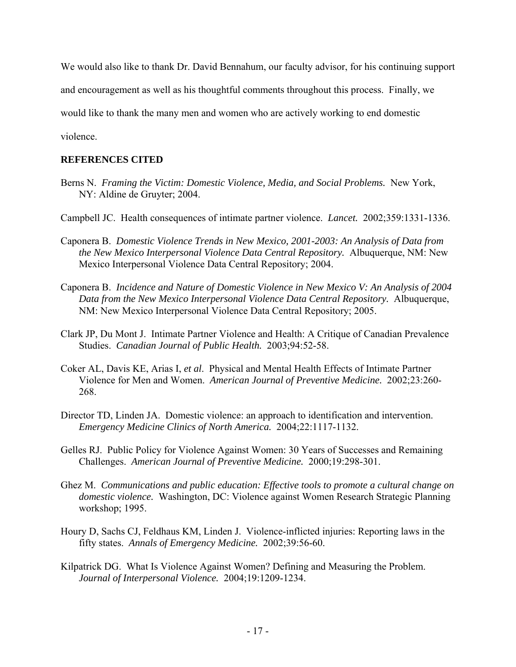We would also like to thank Dr. David Bennahum, our faculty advisor, for his continuing support

and encouragement as well as his thoughtful comments throughout this process. Finally, we

would like to thank the many men and women who are actively working to end domestic

violence.

## **REFERENCES CITED**

- Berns N. *Framing the Victim: Domestic Violence, Media, and Social Problems.* New York, NY: Aldine de Gruyter; 2004.
- Campbell JC. Health consequences of intimate partner violence. *Lancet.* 2002;359:1331-1336.
- Caponera B. *Domestic Violence Trends in New Mexico, 2001-2003: An Analysis of Data from the New Mexico Interpersonal Violence Data Central Repository.* Albuquerque, NM: New Mexico Interpersonal Violence Data Central Repository; 2004.
- Caponera B. *Incidence and Nature of Domestic Violence in New Mexico V: An Analysis of 2004 Data from the New Mexico Interpersonal Violence Data Central Repository.* Albuquerque, NM: New Mexico Interpersonal Violence Data Central Repository; 2005.
- Clark JP, Du Mont J. Intimate Partner Violence and Health: A Critique of Canadian Prevalence Studies. *Canadian Journal of Public Health.* 2003;94:52-58.
- Coker AL, Davis KE, Arias I, *et al*. Physical and Mental Health Effects of Intimate Partner Violence for Men and Women. *American Journal of Preventive Medicine.* 2002;23:260- 268.
- Director TD, Linden JA. Domestic violence: an approach to identification and intervention. *Emergency Medicine Clinics of North America.* 2004;22:1117-1132.
- Gelles RJ. Public Policy for Violence Against Women: 30 Years of Successes and Remaining Challenges. *American Journal of Preventive Medicine.* 2000;19:298-301.
- Ghez M. *Communications and public education: Effective tools to promote a cultural change on domestic violence.* Washington, DC: Violence against Women Research Strategic Planning workshop; 1995.
- Houry D, Sachs CJ, Feldhaus KM, Linden J. Violence-inflicted injuries: Reporting laws in the fifty states. *Annals of Emergency Medicine.* 2002;39:56-60.
- Kilpatrick DG. What Is Violence Against Women? Defining and Measuring the Problem. *Journal of Interpersonal Violence.* 2004;19:1209-1234.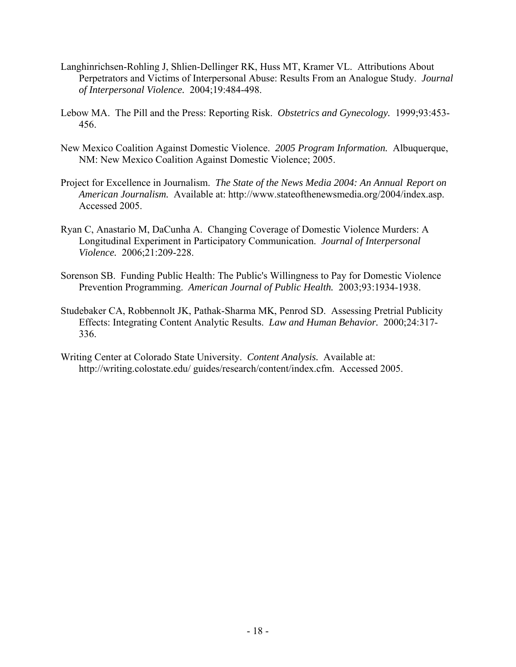- Langhinrichsen-Rohling J, Shlien-Dellinger RK, Huss MT, Kramer VL. Attributions About Perpetrators and Victims of Interpersonal Abuse: Results From an Analogue Study. *Journal of Interpersonal Violence.* 2004;19:484-498.
- Lebow MA. The Pill and the Press: Reporting Risk. *Obstetrics and Gynecology.* 1999;93:453- 456.
- New Mexico Coalition Against Domestic Violence. *2005 Program Information.* Albuquerque, NM: New Mexico Coalition Against Domestic Violence; 2005.
- Project for Excellence in Journalism. *The State of the News Media 2004: An Annual Report on American Journalism.* Available at: [http://www.stateofthenewsmedia.org/2004/i](http://www.stateofthenewsmedia.org/2004/)ndex.asp. Accessed 2005.
- Ryan C, Anastario M, DaCunha A. Changing Coverage of Domestic Violence Murders: A Longitudinal Experiment in Participatory Communication. *Journal of Interpersonal Violence.* 2006;21:209-228.
- Sorenson SB. Funding Public Health: The Public's Willingness to Pay for Domestic Violence Prevention Programming. *American Journal of Public Health.* 2003;93:1934-1938.
- Studebaker CA, Robbennolt JK, Pathak-Sharma MK, Penrod SD. Assessing Pretrial Publicity Effects: Integrating Content Analytic Results. *Law and Human Behavior.* 2000;24:317- 336.
- Writing Center at Colorado State University. *Content Analysis.* Available at: [http://writing.colostate.edu/ guides/research/content/index.cfm](http://writing.colostate.edu/%20guides/research/content/index.cfm). Accessed 2005.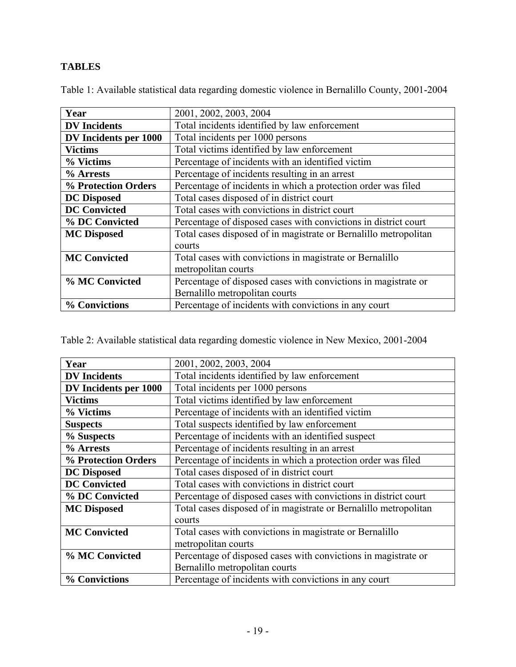# **TABLES**

|  | Table 1: Available statistical data regarding domestic violence in Bernalillo County, 2001-2004 |  |  |  |
|--|-------------------------------------------------------------------------------------------------|--|--|--|
|  |                                                                                                 |  |  |  |

| Year                  | 2001, 2002, 2003, 2004                                           |
|-----------------------|------------------------------------------------------------------|
| <b>DV</b> Incidents   | Total incidents identified by law enforcement                    |
| DV Incidents per 1000 | Total incidents per 1000 persons                                 |
| <b>Victims</b>        | Total victims identified by law enforcement                      |
| % Victims             | Percentage of incidents with an identified victim                |
| % Arrests             | Percentage of incidents resulting in an arrest                   |
| % Protection Orders   | Percentage of incidents in which a protection order was filed    |
| <b>DC</b> Disposed    | Total cases disposed of in district court                        |
| <b>DC Convicted</b>   | Total cases with convictions in district court                   |
| % DC Convicted        | Percentage of disposed cases with convictions in district court  |
| <b>MC</b> Disposed    | Total cases disposed of in magistrate or Bernalillo metropolitan |
|                       | courts                                                           |
| <b>MC Convicted</b>   | Total cases with convictions in magistrate or Bernalillo         |
|                       | metropolitan courts                                              |
| % MC Convicted        | Percentage of disposed cases with convictions in magistrate or   |
|                       | Bernalillo metropolitan courts                                   |
| % Convictions         | Percentage of incidents with convictions in any court            |

Table 2: Available statistical data regarding domestic violence in New Mexico, 2001-2004

| Year                  | 2001, 2002, 2003, 2004                                           |
|-----------------------|------------------------------------------------------------------|
| <b>DV</b> Incidents   | Total incidents identified by law enforcement                    |
| DV Incidents per 1000 | Total incidents per 1000 persons                                 |
| <b>Victims</b>        | Total victims identified by law enforcement                      |
| % Victims             | Percentage of incidents with an identified victim                |
| <b>Suspects</b>       | Total suspects identified by law enforcement                     |
| % Suspects            | Percentage of incidents with an identified suspect               |
| % Arrests             | Percentage of incidents resulting in an arrest                   |
| % Protection Orders   | Percentage of incidents in which a protection order was filed    |
| <b>DC</b> Disposed    | Total cases disposed of in district court                        |
| <b>DC</b> Convicted   | Total cases with convictions in district court                   |
| % DC Convicted        | Percentage of disposed cases with convictions in district court  |
| <b>MC</b> Disposed    | Total cases disposed of in magistrate or Bernalillo metropolitan |
|                       | courts                                                           |
| <b>MC Convicted</b>   | Total cases with convictions in magistrate or Bernalillo         |
|                       | metropolitan courts                                              |
| % MC Convicted        | Percentage of disposed cases with convictions in magistrate or   |
|                       | Bernalillo metropolitan courts                                   |
| % Convictions         | Percentage of incidents with convictions in any court            |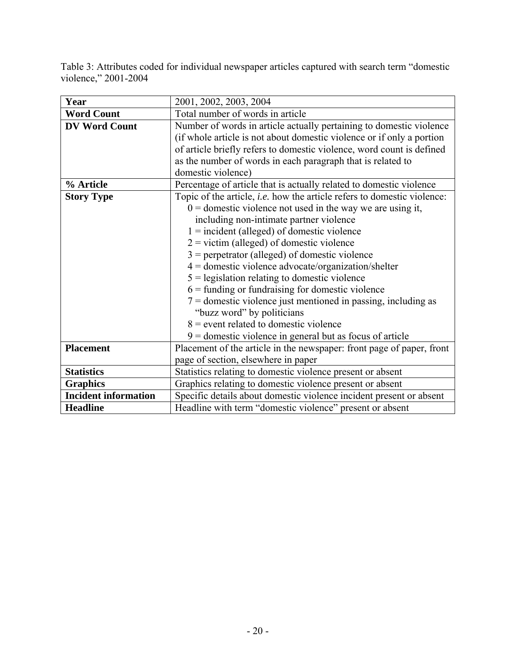Table 3: Attributes coded for individual newspaper articles captured with search term "domestic violence," 2001-2004

| Year                        | 2001, 2002, 2003, 2004                                                         |
|-----------------------------|--------------------------------------------------------------------------------|
| <b>Word Count</b>           | Total number of words in article                                               |
| <b>DV Word Count</b>        | Number of words in article actually pertaining to domestic violence            |
|                             | (if whole article is not about domestic violence or if only a portion          |
|                             | of article briefly refers to domestic violence, word count is defined          |
|                             | as the number of words in each paragraph that is related to                    |
|                             | domestic violence)                                                             |
| % Article                   | Percentage of article that is actually related to domestic violence            |
| <b>Story Type</b>           | Topic of the article, <i>i.e.</i> how the article refers to domestic violence: |
|                             | $0 =$ domestic violence not used in the way we are using it,                   |
|                             | including non-intimate partner violence                                        |
|                             | $1 = incident (alleged) of domestic violence$                                  |
|                             | $2 =$ victim (alleged) of domestic violence                                    |
|                             | $3$ = perpetrator (alleged) of domestic violence                               |
|                             | $4 =$ domestic violence advocate/organization/shelter                          |
|                             | $5$ = legislation relating to domestic violence                                |
|                             | $6$ = funding or fundraising for domestic violence                             |
|                             | $7 =$ domestic violence just mentioned in passing, including as                |
|                             | "buzz word" by politicians                                                     |
|                             | $8$ = event related to domestic violence                                       |
|                             | $9 =$ domestic violence in general but as focus of article                     |
| <b>Placement</b>            | Placement of the article in the newspaper: front page of paper, front          |
|                             | page of section, elsewhere in paper                                            |
| <b>Statistics</b>           | Statistics relating to domestic violence present or absent                     |
| <b>Graphics</b>             | Graphics relating to domestic violence present or absent                       |
| <b>Incident information</b> | Specific details about domestic violence incident present or absent            |
| <b>Headline</b>             | Headline with term "domestic violence" present or absent                       |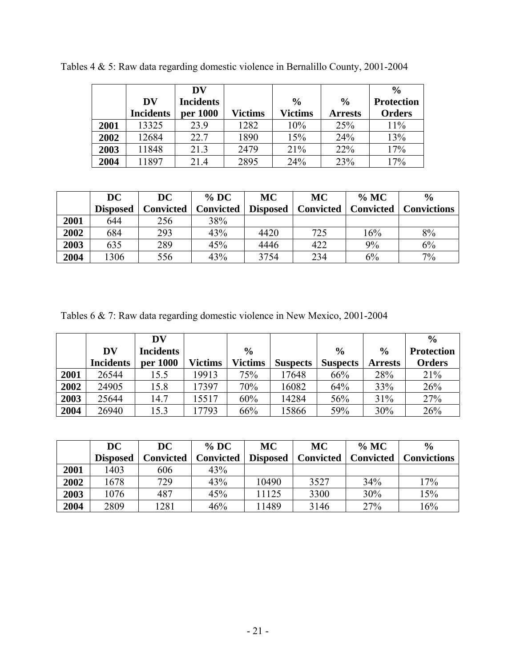|      |                  | DV               |         |                |                | $\frac{0}{0}$     |
|------|------------------|------------------|---------|----------------|----------------|-------------------|
|      | DV               | <b>Incidents</b> |         | $\frac{0}{0}$  | $\frac{0}{0}$  | <b>Protection</b> |
|      | <b>Incidents</b> | per 1000         | Victims | <b>Victims</b> | <b>Arrests</b> | <b>Orders</b>     |
| 2001 | 13325            | 23.9             | 1282    | 10%            | 25%            | 11%               |
| 2002 | 12684            | 22.7             | 1890    | 15%            | 24%            | 13%               |
| 2003 | 11848            | 21.3             | 2479    | 21%            | 22%            | 17%               |
| 2004 | 11897            | 21.4             | 2895    | 24%            | 23%            | 17%               |

Tables 4 & 5: Raw data regarding domestic violence in Bernalillo County, 2001-2004

|      | DC              | <b>DC</b>        | $\%$ DC   | <b>MC</b>       | <b>MC</b>        | $\%$ MC          | $\frac{0}{0}$      |
|------|-----------------|------------------|-----------|-----------------|------------------|------------------|--------------------|
|      | <b>Disposed</b> | <b>Convicted</b> | Convicted | <b>Disposed</b> | <b>Convicted</b> | <b>Convicted</b> | <b>Convictions</b> |
| 2001 | 644             | 256              | 38%       |                 |                  |                  |                    |
| 2002 | 684             | 293              | 43%       | 4420            | 725              | 16%              | 8%                 |
| 2003 | 635             | 289              | 45%       | 4446            | 422              | 9%               | 6%                 |
| 2004 | 1306            | 556              | 43%       | 3754            | 234              | 6%               | 7%                 |

Tables 6 & 7: Raw data regarding domestic violence in New Mexico, 2001-2004

|      |                  | DV               |                |                |                 |                 |                | $\frac{0}{0}$     |
|------|------------------|------------------|----------------|----------------|-----------------|-----------------|----------------|-------------------|
|      | DV               | <b>Incidents</b> |                | $\frac{0}{0}$  |                 | $\frac{0}{0}$   | $\frac{0}{0}$  | <b>Protection</b> |
|      | <b>Incidents</b> | per 1000         | <b>Victims</b> | <b>Victims</b> | <b>Suspects</b> | <b>Suspects</b> | <b>Arrests</b> | <b>Orders</b>     |
| 2001 | 26544            | 15.5             | 19913          | 75%            | 17648           | 66%             | 28%            | 21%               |
| 2002 | 24905            | 15.8             | 17397          | 70%            | 16082           | 64%             | 33%            | 26%               |
| 2003 | 25644            | 14.7             | 15517          | 60%            | 14284           | 56%             | 31%            | 27%               |
| 2004 | 26940            | 15.3             | 7793           | 66%            | 15866           | 59%             | 30%            | 26%               |

|      | DC              | DC               | $%$ DC           | MC              | <b>MC</b>        | $\%$ MC          | $\frac{6}{6}$      |
|------|-----------------|------------------|------------------|-----------------|------------------|------------------|--------------------|
|      | <b>Disposed</b> | <b>Convicted</b> | <b>Convicted</b> | <b>Disposed</b> | <b>Convicted</b> | <b>Convicted</b> | <b>Convictions</b> |
| 2001 | 1403            | 606              | 43%              |                 |                  |                  |                    |
| 2002 | 1678            | 729              | 43%              | 10490           | 3527             | 34%              | 17%                |
| 2003 | 1076            | 487              | 45%              | 11125           | 3300             | 30%              | 15%                |
| 2004 | 2809            | 281              | 46%              | 11489           | 3146             | 27%              | 16%                |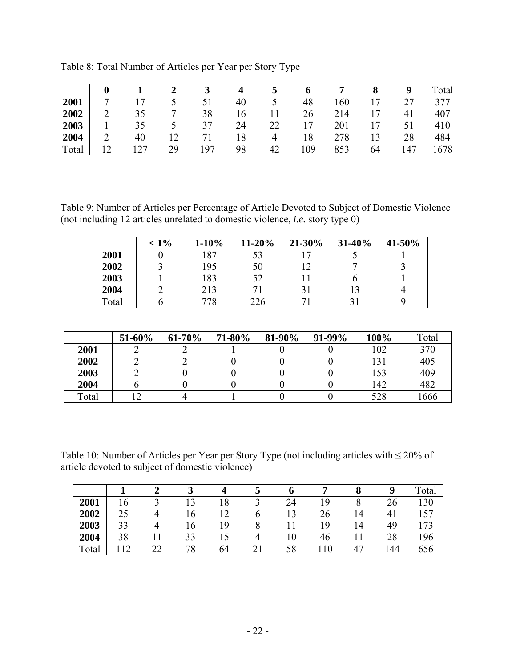|       |   |                |              |     |    |    |     |     |                  | Q   | Total |
|-------|---|----------------|--------------|-----|----|----|-----|-----|------------------|-----|-------|
| 2001  | − | $\overline{ }$ |              | 51  | 40 |    | 48  | 160 | . <del>. .</del> | つつ  | 377   |
| 2002  | ◠ | 35             | −            | 38  | 16 |    | 26  | 214 | 17               | 41  | 407   |
| 2003  |   | 35             |              | 37  | 24 | 22 | 17  | 201 | ۰7               |     | 410   |
| 2004  | ◠ | 40             | $\mathsf{L}$ | −   | 8  | 4  | 18  | 278 | 3                | 28  | 484   |
| Total |   | っっ             | 29           | 197 | 98 | 42 | .09 | 853 | 64               | .47 | 678   |

Table 8: Total Number of Articles per Year per Story Type

Table 9: Number of Articles per Percentage of Article Devoted to Subject of Domestic Violence (not including 12 articles unrelated to domestic violence, *i.e.* story type 0)

|       | $< 1\%$ | $1 - 10\%$ | $11 - 20%$ | 21-30% | $31 - 40\%$ | 41-50% |
|-------|---------|------------|------------|--------|-------------|--------|
| 2001  |         | 187        |            |        |             |        |
| 2002  |         | 195        | 50         |        |             |        |
| 2003  |         | 183        | 52         |        |             |        |
| 2004  |         | 213        |            |        |             |        |
| Total |         | 778        | 226        |        |             |        |

|       | 51-60% | 61-70% | 71-80% | 81-90% | $91-99%$ | 100% | Total |
|-------|--------|--------|--------|--------|----------|------|-------|
| 2001  |        |        |        |        |          | 102  | 370   |
| 2002  |        |        |        |        |          | 131  | 405   |
| 2003  |        |        |        |        |          | 153  | 409   |
| 2004  |        |        |        |        |          | 142  | 482   |
| Total |        |        |        |        |          | 528  | 1666  |

Table 10: Number of Articles per Year per Story Type (not including articles with ≤ 20% of article devoted to subject of domestic violence)

|       |    |    |     |     |    |      |    |     | Total |
|-------|----|----|-----|-----|----|------|----|-----|-------|
| 2001  | .6 |    |     | 18  | 24 | ۱9   |    | 26  | 130   |
| 2002  | 25 |    | l 6 | ר ו | 13 | 26   | 14 | 41  | 157   |
| 2003  | 33 |    | 16  | 19  |    | 19   | 14 | 49  | 173   |
| 2004  | 38 |    | 33  |     |    | 46   |    | 28  | 196   |
| Total |    | າາ | 78  | 64  | 58 | l 10 | 47 | .44 | 656   |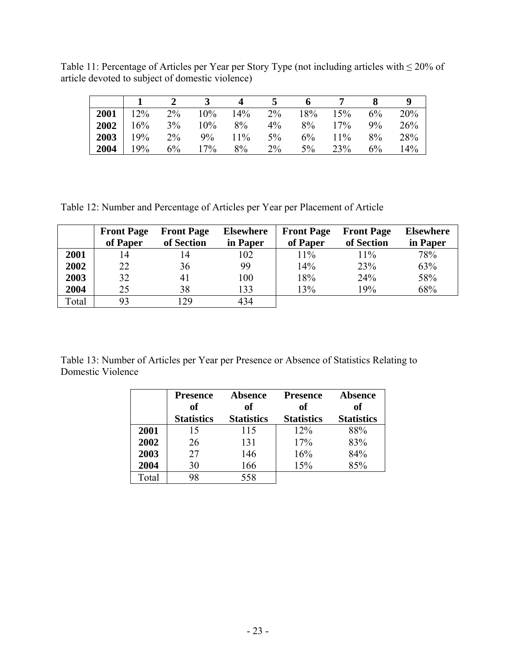Table 11: Percentage of Articles per Year per Story Type (not including articles with ≤ 20% of article devoted to subject of domestic violence)

|            |               |       |           | $\Delta$   | 5     | $\overline{\mathbf{6}}$ |                                       |       |     |
|------------|---------------|-------|-----------|------------|-------|-------------------------|---------------------------------------|-------|-----|
|            |               |       |           |            |       |                         | <b>2001</b> 12% 2% 10% 14% 2% 18% 15% | $6\%$ | 20% |
|            | $2002 \ 16\%$ |       | $3\%$ 10% | $8\%$      | $4\%$ |                         | $8\%$ 17%                             | $9\%$ | 26% |
|            | $2003$ 19%    | $2\%$ |           | $9\%$ 11\% | $5\%$ |                         | $6\%$ 11%                             | $8\%$ | 28% |
| $2004$ 19% |               |       | $6\%$ 17% | 8%         | $2\%$ | $5\%$                   | 23%                                   | $6\%$ | 14% |

Table 12: Number and Percentage of Articles per Year per Placement of Article

|       | <b>Front Page</b> | <b>Front Page</b> | <b>Elsewhere</b> | <b>Front Page</b> | <b>Front Page</b> | <b>Elsewhere</b> |
|-------|-------------------|-------------------|------------------|-------------------|-------------------|------------------|
|       | of Paper          | of Section        | in Paper         | of Paper          | of Section        | in Paper         |
| 2001  | 14                | 14                | 102              | 11%               | 11%               | 78%              |
| 2002  | 22                | 36                | 99               | 14%               | 23%               | 63%              |
| 2003  | 32                | 41                | 100              | 18%               | 24%               | 58%              |
| 2004  | 25                | 38                | 133              | 13%               | 19%               | 68%              |
| Total | 93                | 29                | 434              |                   |                   |                  |

Table 13: Number of Articles per Year per Presence or Absence of Statistics Relating to Domestic Violence

|       | <b>Presence</b><br>of | <b>Absence</b><br>оf | <b>Presence</b><br>оf | <b>Absence</b><br>of |
|-------|-----------------------|----------------------|-----------------------|----------------------|
|       | <b>Statistics</b>     | <b>Statistics</b>    | <b>Statistics</b>     | <b>Statistics</b>    |
| 2001  | 15                    | 115                  | 12%                   | 88%                  |
| 2002  | 26                    | 131                  | 17%                   | 83%                  |
| 2003  | 27                    | 146                  | 16%                   | 84%                  |
| 2004  | 30                    | 166                  | 15%                   | 85%                  |
| Total | 98                    | 558                  |                       |                      |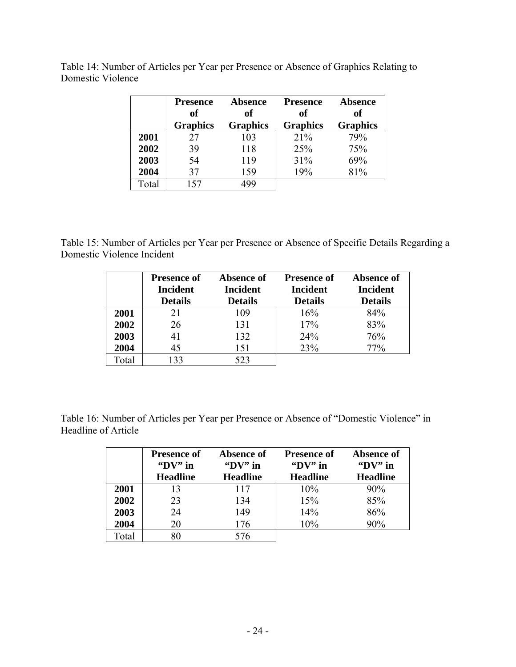|       | <b>Presence</b><br>of | <b>Absence</b><br>of | <b>Presence</b><br>of | <b>Absence</b><br>of |
|-------|-----------------------|----------------------|-----------------------|----------------------|
|       | <b>Graphics</b>       | <b>Graphics</b>      | <b>Graphics</b>       | <b>Graphics</b>      |
| 2001  | 27                    | 103                  | 21%                   | 79%                  |
| 2002  | 39                    | 118                  | 25%                   | 75%                  |
| 2003  | 54                    | 119                  | 31%                   | 69%                  |
| 2004  | 37                    | 159                  | 19%                   | 81%                  |
| Total | 157                   |                      |                       |                      |

Table 14: Number of Articles per Year per Presence or Absence of Graphics Relating to Domestic Violence

Table 15: Number of Articles per Year per Presence or Absence of Specific Details Regarding a Domestic Violence Incident

|       | <b>Presence of</b><br><b>Incident</b> | Absence of<br><b>Incident</b> | <b>Presence of</b><br>Incident | Absence of<br><b>Incident</b> |
|-------|---------------------------------------|-------------------------------|--------------------------------|-------------------------------|
|       | <b>Details</b>                        | <b>Details</b>                | <b>Details</b>                 | <b>Details</b>                |
| 2001  | 21                                    | 109                           | 16%                            | 84%                           |
| 2002  | 26                                    | 131                           | 17%                            | 83%                           |
| 2003  | 41                                    | 132                           | 24%                            | 76%                           |
| 2004  | 45                                    | 151                           | 23%                            | 77%                           |
| Total | 33                                    | 523                           |                                |                               |

Table 16: Number of Articles per Year per Presence or Absence of "Domestic Violence" in Headline of Article

|       | <b>Presence of</b><br>" $DV"$ in<br><b>Headline</b> | Absence of<br>$\mathbf{Y}$ in<br><b>Headline</b> | <b>Presence of</b><br>" $DV"$ in<br><b>Headline</b> | Absence of<br>$\mathbf{Y}$ in<br><b>Headline</b> |
|-------|-----------------------------------------------------|--------------------------------------------------|-----------------------------------------------------|--------------------------------------------------|
|       |                                                     |                                                  |                                                     |                                                  |
| 2001  | 13                                                  | 117                                              | 10%                                                 | 90%                                              |
| 2002  | 23                                                  | 134                                              | 15%                                                 | 85%                                              |
| 2003  | 24                                                  | 149                                              | 14%                                                 | 86%                                              |
| 2004  | 20                                                  | 176                                              | 10%                                                 | 90%                                              |
| Total | 80                                                  | 576                                              |                                                     |                                                  |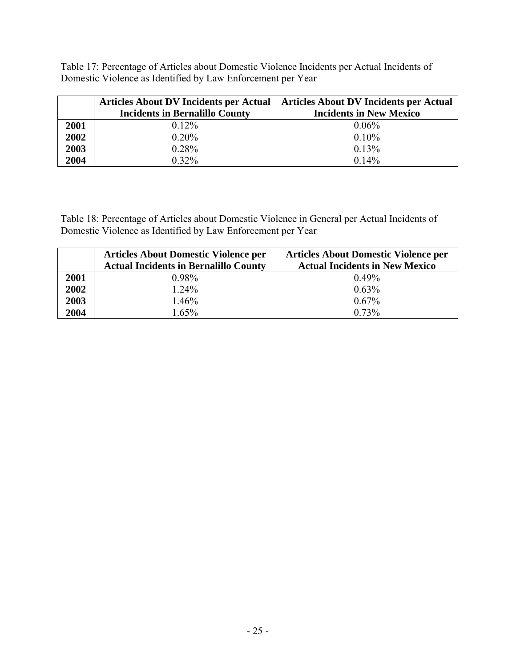Table 17: Percentage of Articles about Domestic Violence Incidents per Actual Incidents of Domestic Violence as Identified by Law Enforcement per Year

|      | Articles About DV Incidents per Actual Articles About DV Incidents per Actual |                                |
|------|-------------------------------------------------------------------------------|--------------------------------|
|      | <b>Incidents in Bernalillo County</b>                                         | <b>Incidents in New Mexico</b> |
| 2001 | $0.12\%$                                                                      | 0.06%                          |
| 2002 | $0.20\%$                                                                      | 0.10%                          |
| 2003 | 0.28%                                                                         | 0.13%                          |
| 2004 | $0.32\%$                                                                      | 0.14%                          |

Table 18: Percentage of Articles about Domestic Violence in General per Actual Incidents of Domestic Violence as Identified by Law Enforcement per Year

|      | <b>Articles About Domestic Violence per</b><br><b>Actual Incidents in Bernalillo County</b> | <b>Articles About Domestic Violence per</b><br><b>Actual Incidents in New Mexico</b> |
|------|---------------------------------------------------------------------------------------------|--------------------------------------------------------------------------------------|
| 2001 | $0.98\%$                                                                                    | $0.49\%$                                                                             |
| 2002 | 1.24%                                                                                       | $0.63\%$                                                                             |
| 2003 | 1.46%                                                                                       | $0.67\%$                                                                             |
| 2004 | 1.65%                                                                                       | $0.73\%$                                                                             |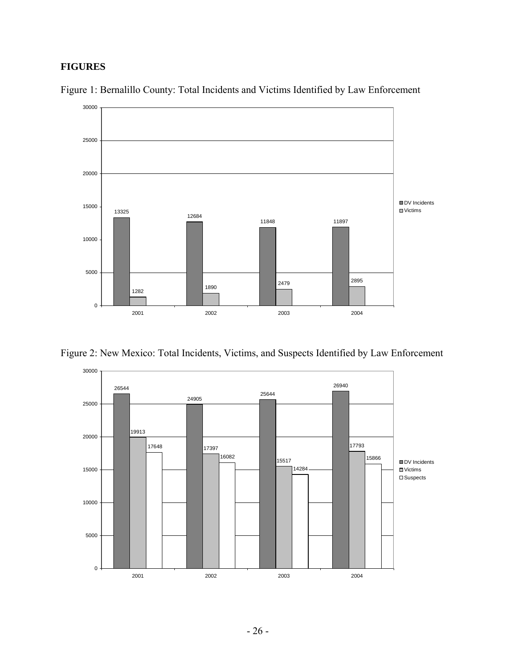## **FIGURES**



Figure 1: Bernalillo County: Total Incidents and Victims Identified by Law Enforcement

Figure 2: New Mexico: Total Incidents, Victims, and Suspects Identified by Law Enforcement

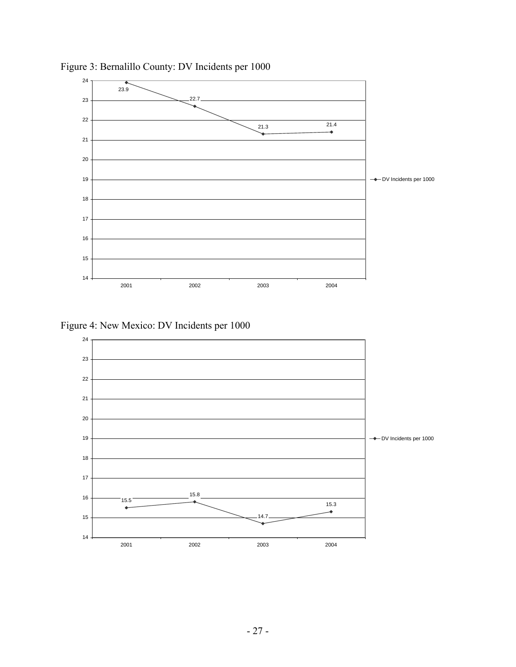

Figure 3: Bernalillo County: DV Incidents per 1000

Figure 4: New Mexico: DV Incidents per 1000

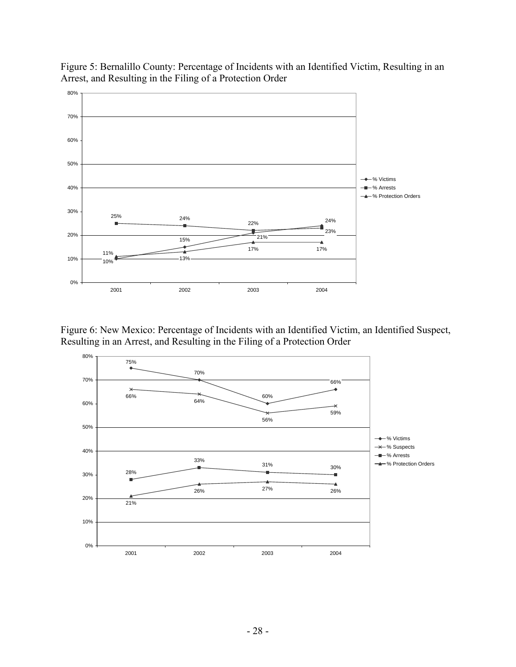

Figure 5: Bernalillo County: Percentage of Incidents with an Identified Victim, Resulting in an Arrest, and Resulting in the Filing of a Protection Order

Figure 6: New Mexico: Percentage of Incidents with an Identified Victim, an Identified Suspect, Resulting in an Arrest, and Resulting in the Filing of a Protection Order

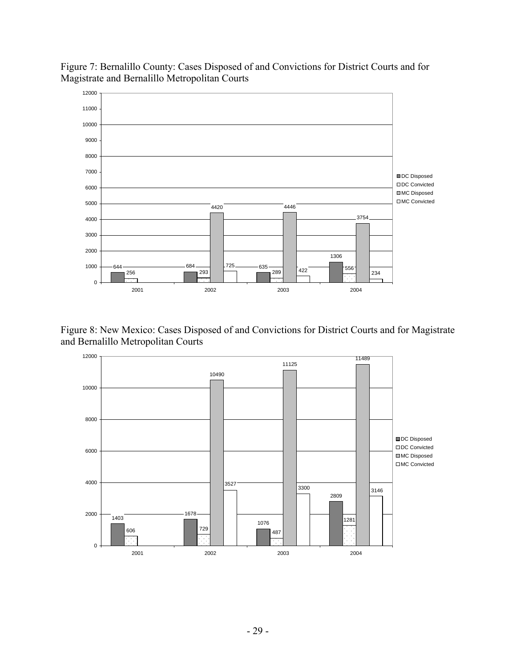

Figure 7: Bernalillo County: Cases Disposed of and Convictions for District Courts and for Magistrate and Bernalillo Metropolitan Courts

Figure 8: New Mexico: Cases Disposed of and Convictions for District Courts and for Magistrate and Bernalillo Metropolitan Courts

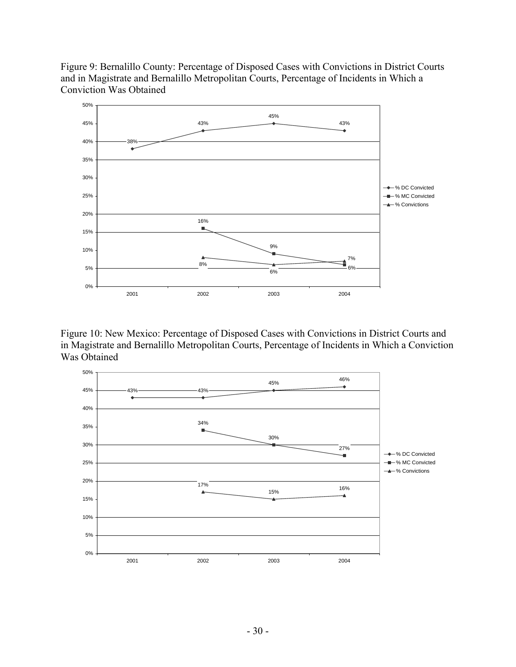Figure 9: Bernalillo County: Percentage of Disposed Cases with Convictions in District Courts and in Magistrate and Bernalillo Metropolitan Courts, Percentage of Incidents in Which a Conviction Was Obtained



Figure 10: New Mexico: Percentage of Disposed Cases with Convictions in District Courts and in Magistrate and Bernalillo Metropolitan Courts, Percentage of Incidents in Which a Conviction Was Obtained

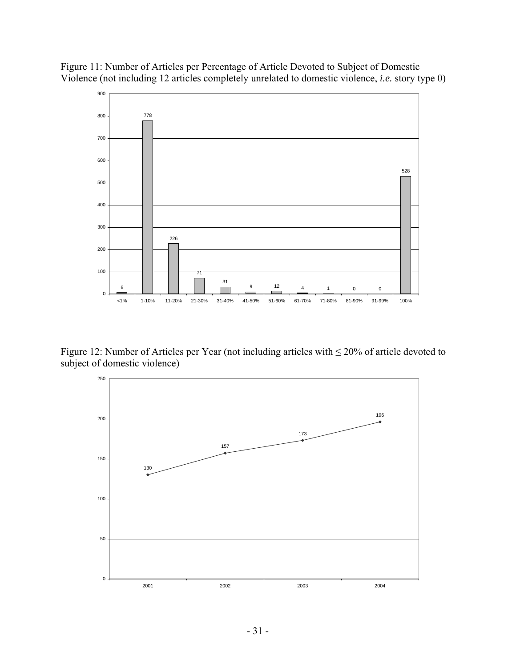Figure 11: Number of Articles per Percentage of Article Devoted to Subject of Domestic Violence (not including 12 articles completely unrelated to domestic violence, *i.e.* story type 0)



Figure 12: Number of Articles per Year (not including articles with  $\leq$  20% of article devoted to subject of domestic violence)

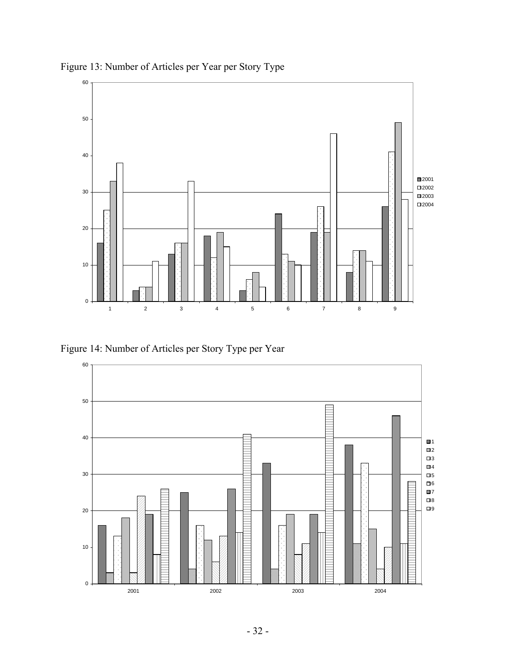

Figure 13: Number of Articles per Year per Story Type

Figure 14: Number of Articles per Story Type per Year

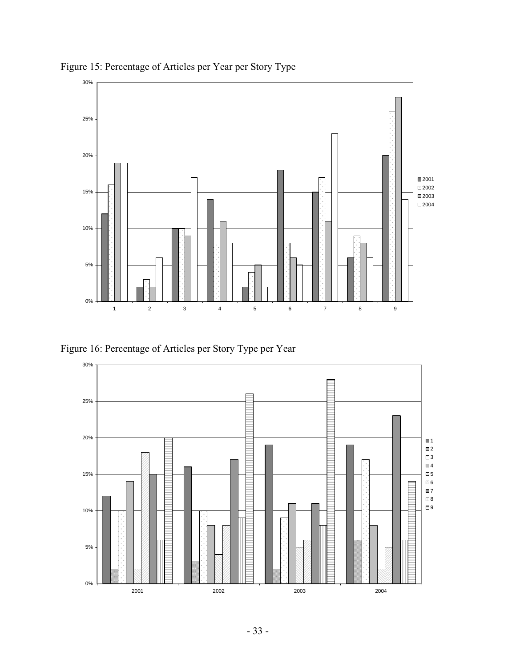

Figure 15: Percentage of Articles per Year per Story Type

Figure 16: Percentage of Articles per Story Type per Year

![](_page_35_Figure_3.jpeg)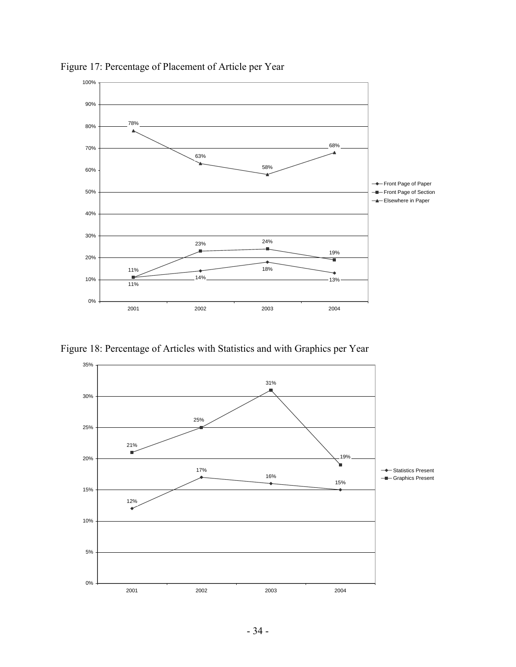![](_page_36_Figure_0.jpeg)

Figure 17: Percentage of Placement of Article per Year

Figure 18: Percentage of Articles with Statistics and with Graphics per Year

![](_page_36_Figure_3.jpeg)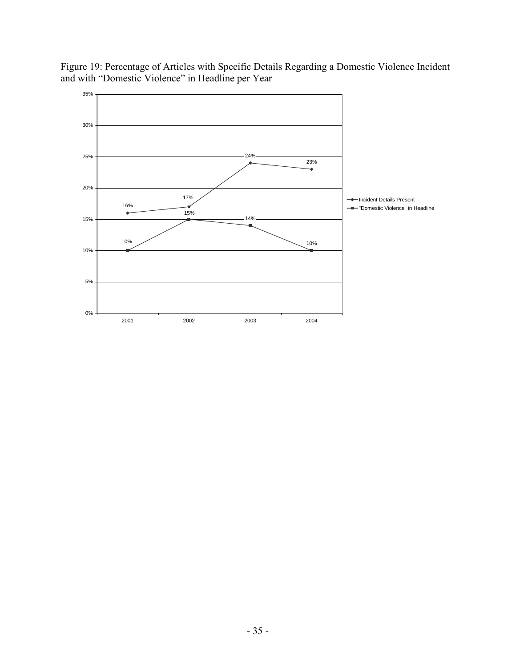![](_page_37_Figure_0.jpeg)

Figure 19: Percentage of Articles with Specific Details Regarding a Domestic Violence Incident and with "Domestic Violence" in Headline per Year